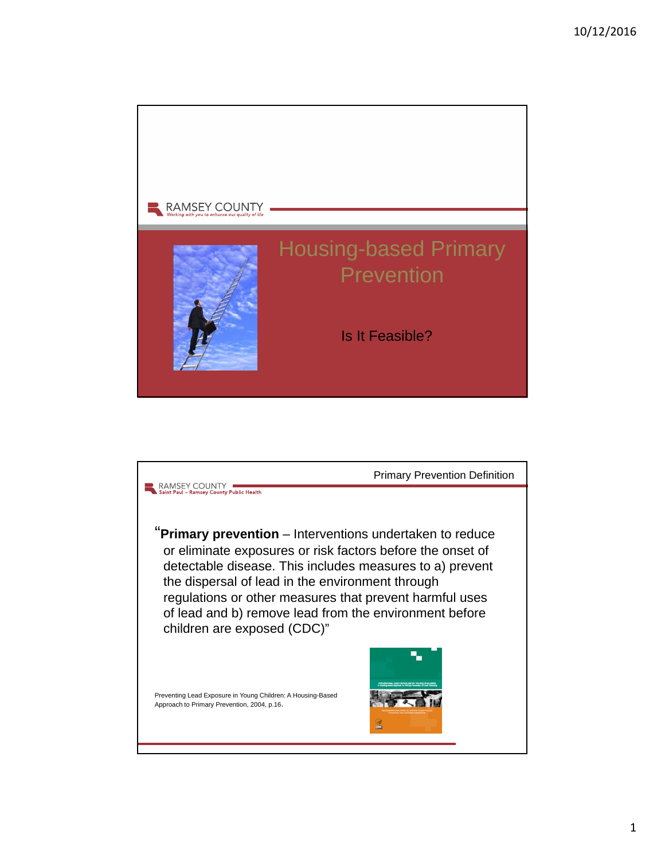

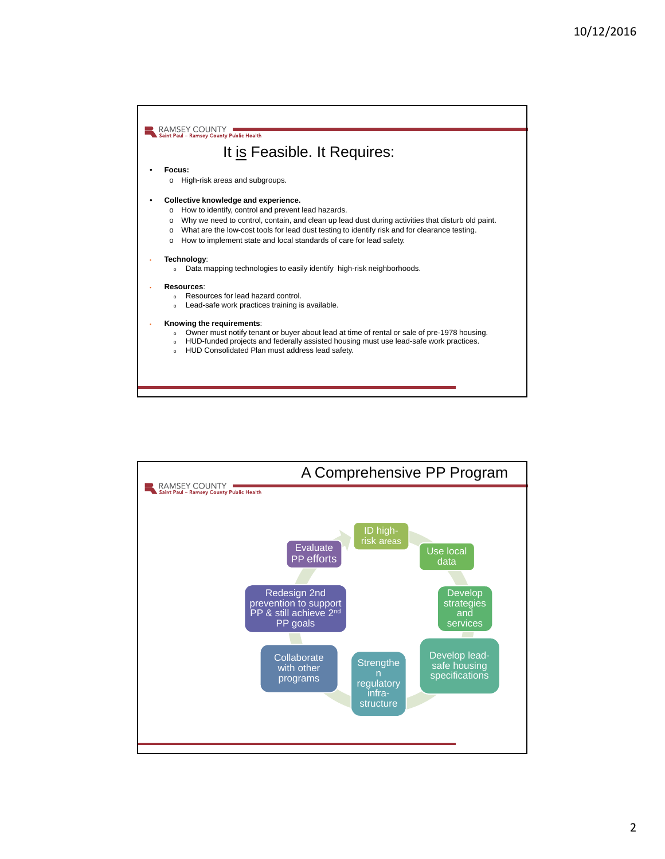

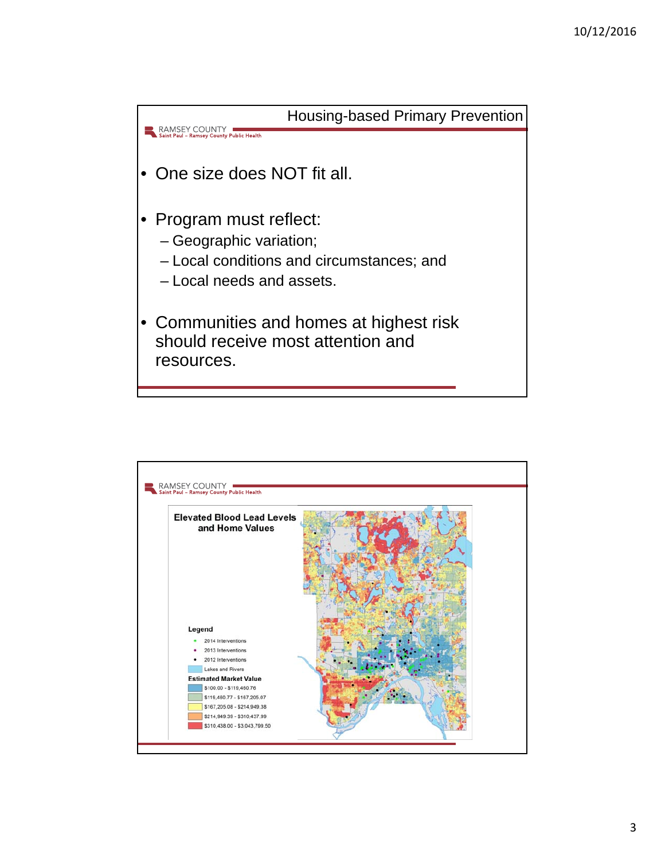